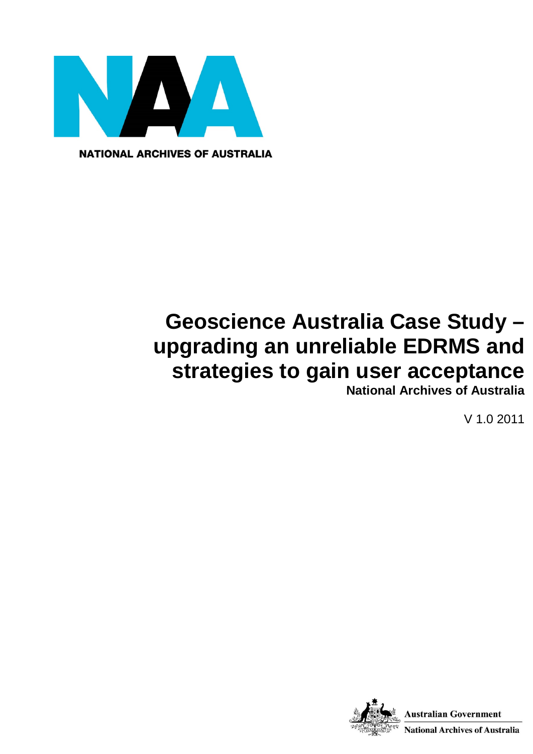

**NATIONAL ARCHIVES OF AUSTRALIA** 

# **Geoscience Australia Case Study – upgrading an unreliable EDRMS and strategies to gain user acceptance**

**National Archives of Australia**

V 1.0 2011

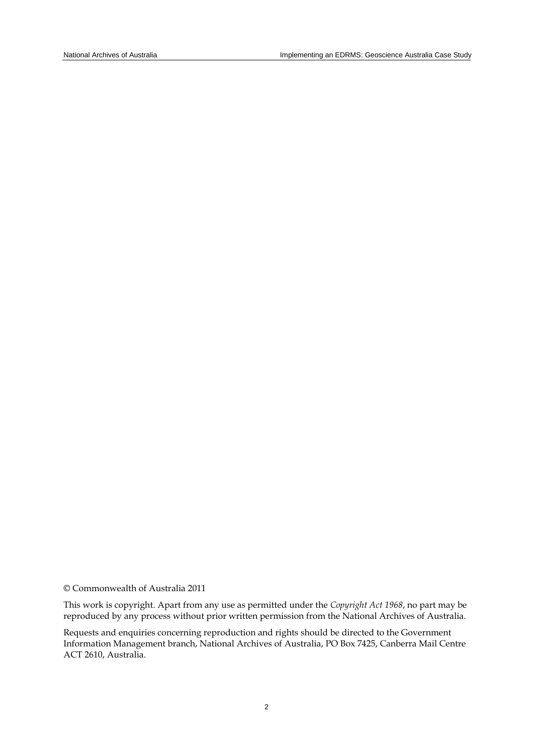© Commonwealth of Australia 2011

This work is copyright. Apart from any use as permitted under the *Copyright Act 1968*, no part may be reproduced by any process without prior written permission from the National Archives of Australia.

Requests and enquiries concerning reproduction and rights should be directed to the Government Information Management branch, National Archives of Australia, PO Box 7425, Canberra Mail Centre ACT 2610, Australia.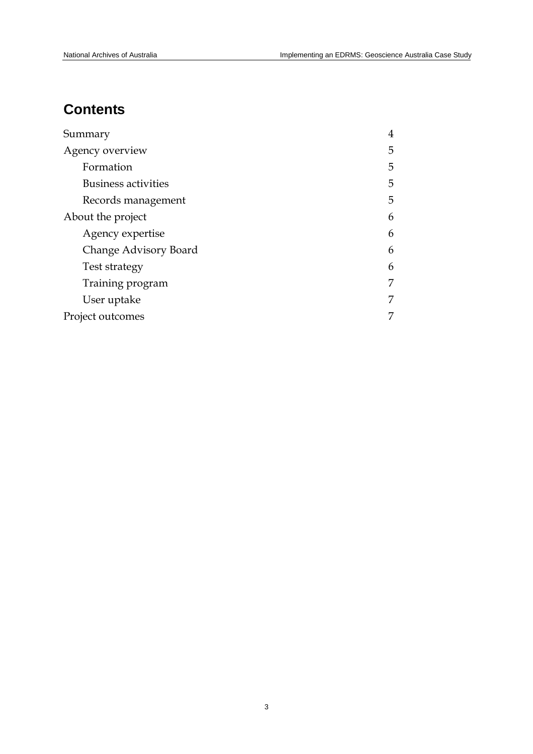# **Contents**

| Summary                    | $\overline{4}$ |
|----------------------------|----------------|
| Agency overview            | 5              |
| Formation                  | 5              |
| <b>Business activities</b> | 5              |
| Records management         | 5              |
| About the project          | 6              |
| Agency expertise           | 6              |
| Change Advisory Board      | 6              |
| Test strategy              | 6              |
| Training program           | 7              |
| User uptake                | 7              |
| Project outcomes           | 7              |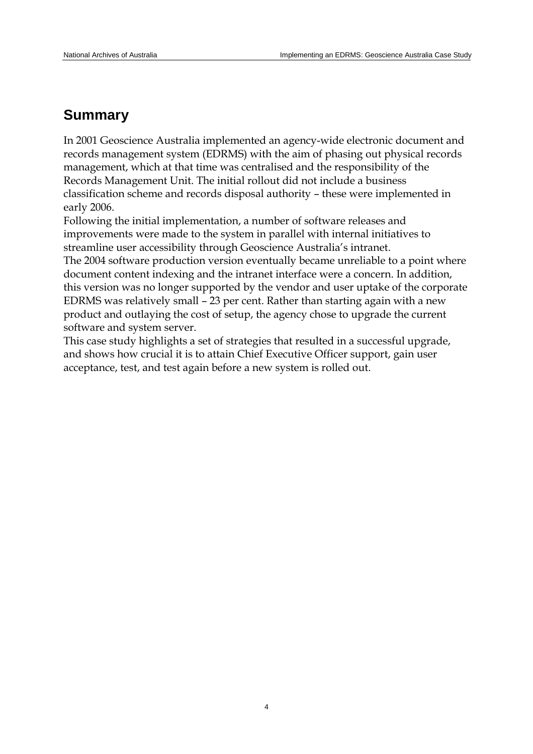## **Summary**

In 2001 Geoscience Australia implemented an agency-wide electronic document and records management system (EDRMS) with the aim of phasing out physical records management, which at that time was centralised and the responsibility of the Records Management Unit. The initial rollout did not include a business classification scheme and records disposal authority – these were implemented in early 2006.

Following the initial implementation, a number of software releases and improvements were made to the system in parallel with internal initiatives to streamline user accessibility through Geoscience Australia's intranet.

The 2004 software production version eventually became unreliable to a point where document content indexing and the intranet interface were a concern. In addition, this version was no longer supported by the vendor and user uptake of the corporate EDRMS was relatively small – 23 per cent. Rather than starting again with a new product and outlaying the cost of setup, the agency chose to upgrade the current software and system server.

This case study highlights a set of strategies that resulted in a successful upgrade, and shows how crucial it is to attain Chief Executive Officer support, gain user acceptance, test, and test again before a new system is rolled out.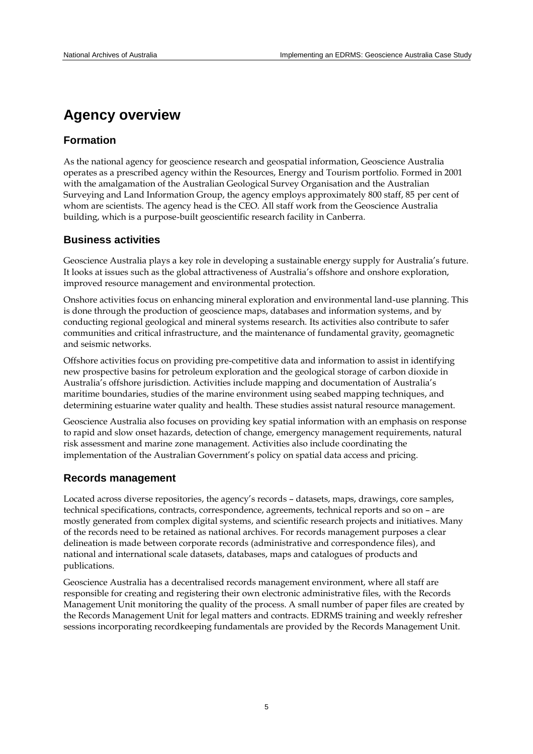### **Agency overview**

### **Formation**

As the national agency for geoscience research and geospatial information, Geoscience Australia operates as a prescribed agency within the Resources, Energy and Tourism portfolio. Formed in 2001 with the amalgamation of the Australian Geological Survey Organisation and the Australian Surveying and Land Information Group, the agency employs approximately 800 staff, 85 per cent of whom are scientists. The agency head is the CEO. All staff work from the Geoscience Australia building, which is a purpose-built geoscientific research facility in Canberra.

### **Business activities**

Geoscience Australia plays a key role in developing a sustainable energy supply for Australia's future. It looks at issues such as the global attractiveness of Australia's offshore and onshore exploration, improved resource management and environmental protection.

Onshore activities focus on enhancing mineral exploration and environmental land-use planning. This is done through the production of geoscience maps, databases and information systems, and by conducting regional geological and mineral systems research. Its activities also contribute to safer communities and critical infrastructure, and the maintenance of fundamental gravity, geomagnetic and seismic networks.

Offshore activities focus on providing pre-competitive data and information to assist in identifying new prospective basins for petroleum exploration and the geological storage of carbon dioxide in Australia's offshore jurisdiction. Activities include mapping and documentation of Australia's maritime boundaries, studies of the marine environment using seabed mapping techniques, and determining estuarine water quality and health. These studies assist natural resource management.

Geoscience Australia also focuses on providing key spatial information with an emphasis on response to rapid and slow onset hazards, detection of change, emergency management requirements, natural risk assessment and marine zone management. Activities also include coordinating the implementation of the Australian Government's policy on spatial data access and pricing.

#### **Records management**

Located across diverse repositories, the agency's records – datasets, maps, drawings, core samples, technical specifications, contracts, correspondence, agreements, technical reports and so on – are mostly generated from complex digital systems, and scientific research projects and initiatives. Many of the records need to be retained as national archives. For records management purposes a clear delineation is made between corporate records (administrative and correspondence files), and national and international scale datasets, databases, maps and catalogues of products and publications.

Geoscience Australia has a decentralised records management environment, where all staff are responsible for creating and registering their own electronic administrative files, with the Records Management Unit monitoring the quality of the process. A small number of paper files are created by the Records Management Unit for legal matters and contracts. EDRMS training and weekly refresher sessions incorporating recordkeeping fundamentals are provided by the Records Management Unit.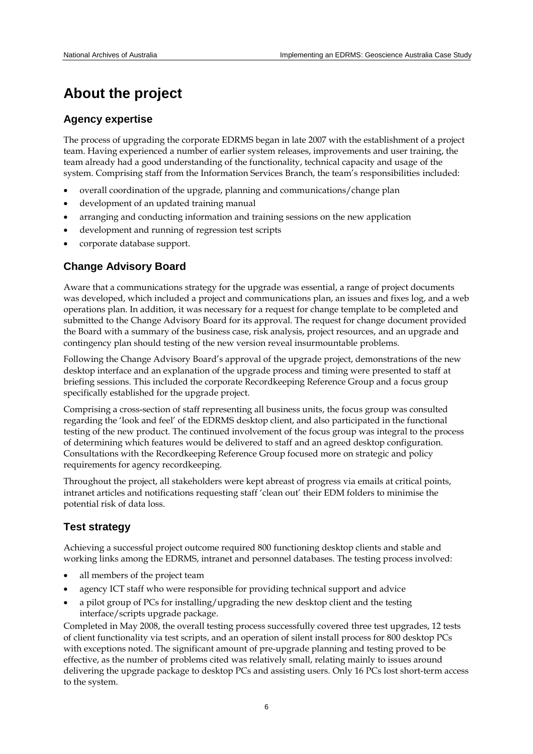# **About the project**

### **Agency expertise**

The process of upgrading the corporate EDRMS began in late 2007 with the establishment of a project team. Having experienced a number of earlier system releases, improvements and user training, the team already had a good understanding of the functionality, technical capacity and usage of the system. Comprising staff from the Information Services Branch, the team's responsibilities included:

- overall coordination of the upgrade, planning and communications/change plan
- development of an updated training manual
- arranging and conducting information and training sessions on the new application
- development and running of regression test scripts
- corporate database support.

### **Change Advisory Board**

Aware that a communications strategy for the upgrade was essential, a range of project documents was developed, which included a project and communications plan, an issues and fixes log, and a web operations plan. In addition, it was necessary for a request for change template to be completed and submitted to the Change Advisory Board for its approval. The request for change document provided the Board with a summary of the business case, risk analysis, project resources, and an upgrade and contingency plan should testing of the new version reveal insurmountable problems.

Following the Change Advisory Board's approval of the upgrade project, demonstrations of the new desktop interface and an explanation of the upgrade process and timing were presented to staff at briefing sessions. This included the corporate Recordkeeping Reference Group and a focus group specifically established for the upgrade project.

Comprising a cross-section of staff representing all business units, the focus group was consulted regarding the 'look and feel' of the EDRMS desktop client, and also participated in the functional testing of the new product. The continued involvement of the focus group was integral to the process of determining which features would be delivered to staff and an agreed desktop configuration. Consultations with the Recordkeeping Reference Group focused more on strategic and policy requirements for agency recordkeeping.

Throughout the project, all stakeholders were kept abreast of progress via emails at critical points, intranet articles and notifications requesting staff 'clean out' their EDM folders to minimise the potential risk of data loss.

### **Test strategy**

Achieving a successful project outcome required 800 functioning desktop clients and stable and working links among the EDRMS, intranet and personnel databases. The testing process involved:

- all members of the project team
- agency ICT staff who were responsible for providing technical support and advice
- a pilot group of PCs for installing/upgrading the new desktop client and the testing interface/scripts upgrade package.

Completed in May 2008, the overall testing process successfully covered three test upgrades, 12 tests of client functionality via test scripts, and an operation of silent install process for 800 desktop PCs with exceptions noted. The significant amount of pre-upgrade planning and testing proved to be effective, as the number of problems cited was relatively small, relating mainly to issues around delivering the upgrade package to desktop PCs and assisting users. Only 16 PCs lost short-term access to the system.